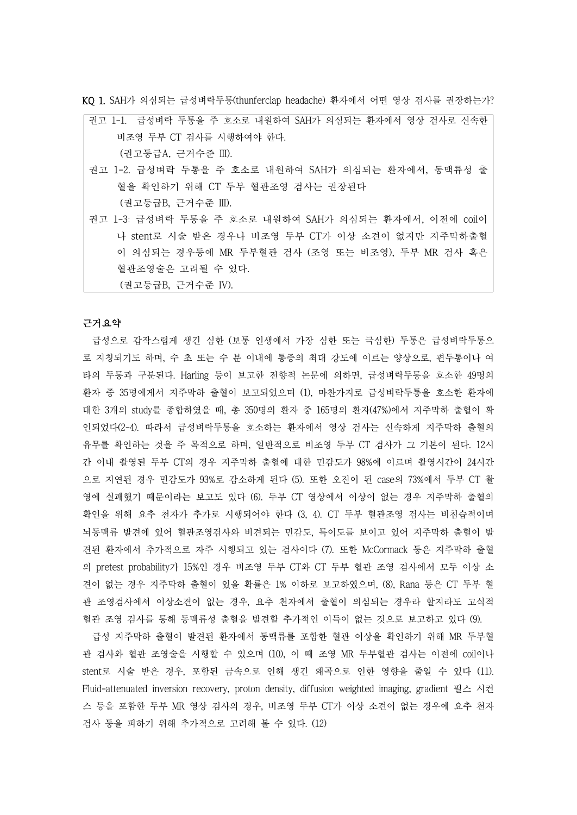KQ 1. SAH가 의심되는 급성벼락두통(thunferclap headache) 환자에서 어떤 영상 검사를 권장하는가?

| 권고 1-1. 급성벼락 두통을 주 호소로 내원하여 SAH가 의심되는 환자에서 영상 검사로 신속한 |
|-------------------------------------------------------|
| 비조영 두부 CT 검사를 시행하여야 한다.                               |
| (권고등급A, 근거수준 III).                                    |
| 권고 1-2. 급성벼락 두통을 주 호소로 내원하여 SAH가 의심되는 환자에서, 동맥류성 출    |
| 혈을 확인하기 위해 CT 두부 혈관조영 검사는 권장된다                        |

(권고등급B, 근거수준 III).

권고 1-3: 급성벼락 두통을 주 호소로 내원하여 SAH가 의심되는 환자에서, 이전에 coil이 나 stent로 시술 받은 경우나 비조영 두부 CT가 이상 소견이 없지만 지주막하출혈 이 의심되는 경우등에 MR 두부혈관 검사 (조영 또는 비조영), 두부 MR 검사 혹은 혈관조영술은 고려될 수 있다.

(권고등급B, 근거수준 IV).

### 근거요약

급성으로 갑작스럽게 생긴 심한 (보통 인생에서 가장 심한 또는 극심한) 두통은 급성벼락두통으 로 지칭되기도 하며, 수 초 또는 수 분 이내에 통증의 최대 강도에 이르는 양상으로, 편두통이나 여 타의 두통과 구분된다. Harling 등이 보고한 전향적 논문에 의하면, 급성벼락두통을 호소한 49명의 환자 중 35명에게서 지주막하 출혈이 보고되었으며 (1), 마찬가지로 급성벼락두통을 호소한 환자에 대한 3개의 study를 종합하였을 때, 총 350명의 환자 중 165명의 환자(47%)에서 지주막하 출혈이 확 인되었다(2-4). 따라서 급성벼락두통을 호소하는 환자에서 영상 검사는 신속하게 지주막하 출혈의 유무를 확인하는 것을 주 목적으로 하며, 일반적으로 비조영 두부 CT 검사가 그 기본이 된다. 12시 간 이내 촬영된 두부 CT의 경우 지주막하 출혈에 대한 민감도가 98%에 이르며 촬영시간이 24시간 으로 지연된 경우 민감도가 93%로 감소하게 된다 (5). 또한 오진이 된 case의 73%에서 두부 CT 촬 영에 실패했기 때문이라는 보고도 있다 (6). 두부 CT 영상에서 이상이 없는 경우 지주막하 출혈의 확인을 위해 요추 천자가 추가로 시행되어야 한다 (3, 4). CT 두부 혈관조영 검사는 비침습적이며 뇌동맥류 발견에 있어 혈관조영검사와 비견되는 민감도, 특이도를 보이고 있어 지주막하 출혈이 발 견된 환자에서 추가적으로 자주 시행되고 있는 검사이다 (7). 또한 McCormack 등은 지주막하 출혈 의 pretest probability가 15%인 경우 비조영 두부 CT와 CT 두부 혈관 조영 검사에서 모두 이상 소 견이 없는 경우 지주막하 출혈이 있을 확률은 1% 이하로 보고하였으며, (8), Rana 등은 CT 두부 혈 관 조영검사에서 이상소견이 없는 경우, 요추 천자에서 출혈이 의심되는 경우라 할지라도 고식적 혈관 조영 검사를 통해 동맥류성 출혈을 발견할 추가적인 이득이 없는 것으로 보고하고 있다 (9).

급성 지주막하 출혈이 발견된 환자에서 동맥류를 포함한 혈관 이상을 확인하기 위해 MR 두부혈 관 검사와 혈관 조영술을 시행할 수 있으며 (10), 이 때 조영 MR 두부혈관 검사는 이전에 coil이나 stent로 시술 받은 경우, 포함된 금속으로 인해 생긴 왜곡으로 인한 영향을 줄일 수 있다 (11). Fluid-attenuated inversion recovery, proton density, diffusion weighted imaging, gradient 펄스 시컨 스 등을 포함한 두부 MR 영상 검사의 경우, 비조영 두부 CT가 이상 소견이 없는 경우에 요추 천자 검사 등을 피하기 위해 추가적으로 고려해 볼 수 있다. (12)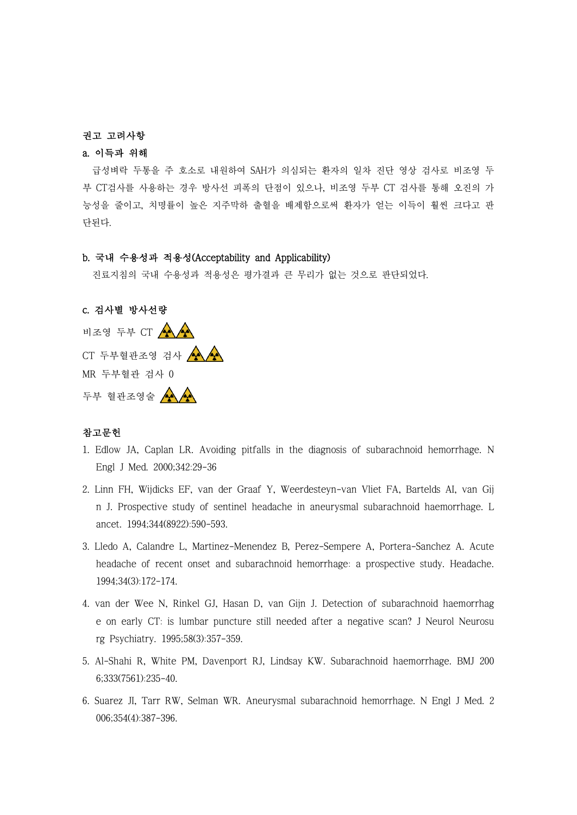#### 권고 고려사항

## a. 이득과 위해

급성벼락 두통을 주 호소로 내원하여 SAH가 의심되는 환자의 일차 진단 영상 검사로 비조영 두 부 CT검사를 사용하는 경우 방사선 피폭의 단점이 있으나, 비조영 두부 CT 검사를 통해 오진의 가 능성을 줄이고, 치명률이 높은 지주막하 출혈을 배제함으로써 환자가 얻는 이득이 훨씬 크다고 판 단된다.

#### b. 국내 수용성과 적용성(Acceptability and Applicability)

진료지침의 국내 수용성과 적용성은 평가결과 큰 무리가 없는 것으로 판단되었다.

# c. 검사별 방사선량

비조영 두부 CT  $\left(\begin{matrix} \mathbf{A} & \mathbf{A} \\ \mathbf{A} & \mathbf{A} \end{matrix}\right)$ CT 두부혈관조영 검사 MR 두부혈관 검사 0 두부 혈관조영술 수

### 참고문헌

- 1. Edlow JA, Caplan LR. Avoiding pitfalls in the diagnosis of subarachnoid hemorrhage. N Engl J Med. 2000;342:29-36
- 2. Linn FH, Wijdicks EF, van der Graaf Y, Weerdesteyn-van Vliet FA, Bartelds AI, van Gij n J. Prospective study of sentinel headache in aneurysmal subarachnoid haemorrhage. L ancet. 1994;344(8922):590-593.
- 3. Lledo A, Calandre L, Martinez-Menendez B, Perez-Sempere A, Portera-Sanchez A. Acute headache of recent onset and subarachnoid hemorrhage: a prospective study. Headache. 1994;34(3):172-174.
- 4. van der Wee N, Rinkel GJ, Hasan D, van Gijn J. Detection of subarachnoid haemorrhag e on early CT: is lumbar puncture still needed after a negative scan? J Neurol Neurosu rg Psychiatry. 1995;58(3):357-359.
- 5. Al-Shahi R, White PM, Davenport RJ, Lindsay KW. Subarachnoid haemorrhage. BMJ 200 6;333(7561):235-40.
- 6. Suarez JI, Tarr RW, Selman WR. Aneurysmal subarachnoid hemorrhage. N Engl J Med. 2 006;354(4):387-396.